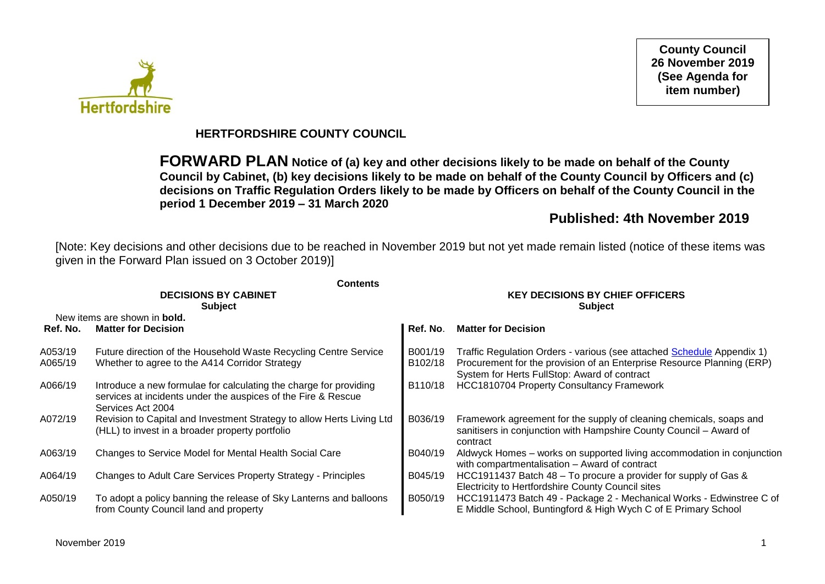**Hertfordshire** 

**County Council 26 November 2019 (See Agenda for item number)**

## **HERTFORDSHIRE COUNTY COUNCIL**

**FORWARD PLAN Notice of (a) key and other decisions likely to be made on behalf of the County Council by Cabinet, (b) key decisions likely to be made on behalf of the County Council by Officers and (c) decisions on Traffic Regulation Orders likely to be made by Officers on behalf of the County Council in the period 1 December 2019 – 31 March 2020**

## **Published: 4th November 2019**

[Note: Key decisions and other decisions due to be reached in November 2019 but not yet made remain listed (notice of these items was given in the Forward Plan issued on 3 October 2019)]

|          | <b>Contents</b><br><b>DECISIONS BY CABINET</b>                                                                                                          | <b>KEY DECISIONS BY CHIEF OFFICERS</b> |                                                                                                                                                       |  |  |
|----------|---------------------------------------------------------------------------------------------------------------------------------------------------------|----------------------------------------|-------------------------------------------------------------------------------------------------------------------------------------------------------|--|--|
|          | <b>Subject</b>                                                                                                                                          |                                        | <b>Subject</b>                                                                                                                                        |  |  |
|          | New items are shown in <b>bold.</b>                                                                                                                     |                                        |                                                                                                                                                       |  |  |
| Ref. No. | <b>Matter for Decision</b>                                                                                                                              | Ref. No.                               | <b>Matter for Decision</b>                                                                                                                            |  |  |
| A053/19  | Future direction of the Household Waste Recycling Centre Service                                                                                        | B001/19                                | Traffic Regulation Orders - various (see attached Schedule Appendix 1)                                                                                |  |  |
| A065/19  | Whether to agree to the A414 Corridor Strategy                                                                                                          | B102/18                                | Procurement for the provision of an Enterprise Resource Planning (ERP)<br>System for Herts FullStop: Award of contract                                |  |  |
| A066/19  | Introduce a new formulae for calculating the charge for providing<br>services at incidents under the auspices of the Fire & Rescue<br>Services Act 2004 | B110/18                                | <b>HCC1810704 Property Consultancy Framework</b>                                                                                                      |  |  |
| A072/19  | Revision to Capital and Investment Strategy to allow Herts Living Ltd<br>(HLL) to invest in a broader property portfolio                                | B036/19                                | Framework agreement for the supply of cleaning chemicals, soaps and<br>sanitisers in conjunction with Hampshire County Council - Award of<br>contract |  |  |
| A063/19  | Changes to Service Model for Mental Health Social Care                                                                                                  | B040/19                                | Aldwyck Homes - works on supported living accommodation in conjunction<br>with compartmentalisation - Award of contract                               |  |  |
| A064/19  | Changes to Adult Care Services Property Strategy - Principles                                                                                           | B045/19                                | HCC1911437 Batch 48 – To procure a provider for supply of Gas &<br>Electricity to Hertfordshire County Council sites                                  |  |  |
| A050/19  | To adopt a policy banning the release of Sky Lanterns and balloons<br>from County Council land and property                                             | B050/19                                | HCC1911473 Batch 49 - Package 2 - Mechanical Works - Edwinstree C of<br>E Middle School, Buntingford & High Wych C of E Primary School                |  |  |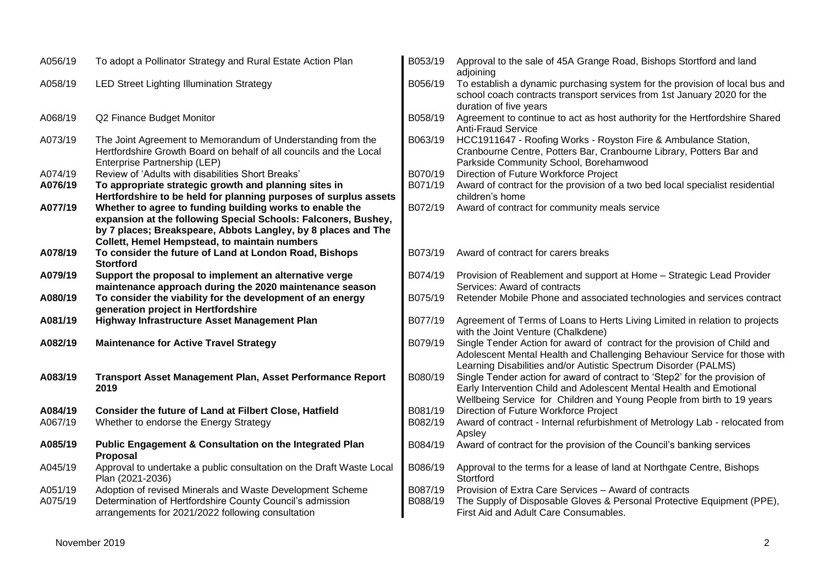| A056/19 | To adopt a Pollinator Strategy and Rural Estate Action Plan                                                                                                       | B053/19 | Approval to the sale of 45A Grange Road, Bishops Stortford and land<br>adjoining                                                                                                                                            |
|---------|-------------------------------------------------------------------------------------------------------------------------------------------------------------------|---------|-----------------------------------------------------------------------------------------------------------------------------------------------------------------------------------------------------------------------------|
| A058/19 | <b>LED Street Lighting Illumination Strategy</b>                                                                                                                  | B056/19 | To establish a dynamic purchasing system for the provision of local bus and<br>school coach contracts transport services from 1st January 2020 for the<br>duration of five years                                            |
| A068/19 | Q2 Finance Budget Monitor                                                                                                                                         | B058/19 | Agreement to continue to act as host authority for the Hertfordshire Shared<br><b>Anti-Fraud Service</b>                                                                                                                    |
| A073/19 | The Joint Agreement to Memorandum of Understanding from the<br>Hertfordshire Growth Board on behalf of all councils and the Local<br>Enterprise Partnership (LEP) | B063/19 | HCC1911647 - Roofing Works - Royston Fire & Ambulance Station,<br>Cranbourne Centre, Potters Bar, Cranbourne Library, Potters Bar and<br>Parkside Community School, Borehamwood                                             |
| A074/19 | Review of 'Adults with disabilities Short Breaks'                                                                                                                 | B070/19 | Direction of Future Workforce Project                                                                                                                                                                                       |
| A076/19 | To appropriate strategic growth and planning sites in<br>Hertfordshire to be held for planning purposes of surplus assets                                         | B071/19 | Award of contract for the provision of a two bed local specialist residential<br>children's home                                                                                                                            |
| A077/19 | Whether to agree to funding building works to enable the                                                                                                          | B072/19 | Award of contract for community meals service                                                                                                                                                                               |
|         | expansion at the following Special Schools: Falconers, Bushey,                                                                                                    |         |                                                                                                                                                                                                                             |
|         | by 7 places; Breakspeare, Abbots Langley, by 8 places and The                                                                                                     |         |                                                                                                                                                                                                                             |
|         | Collett, Hemel Hempstead, to maintain numbers                                                                                                                     |         |                                                                                                                                                                                                                             |
| A078/19 | To consider the future of Land at London Road, Bishops<br><b>Stortford</b>                                                                                        | B073/19 | Award of contract for carers breaks                                                                                                                                                                                         |
| A079/19 | Support the proposal to implement an alternative verge                                                                                                            | B074/19 | Provision of Reablement and support at Home - Strategic Lead Provider                                                                                                                                                       |
|         | maintenance approach during the 2020 maintenance season                                                                                                           |         | Services: Award of contracts                                                                                                                                                                                                |
| A080/19 | To consider the viability for the development of an energy<br>generation project in Hertfordshire                                                                 | B075/19 | Retender Mobile Phone and associated technologies and services contract                                                                                                                                                     |
| A081/19 | Highway Infrastructure Asset Management Plan                                                                                                                      | B077/19 | Agreement of Terms of Loans to Herts Living Limited in relation to projects<br>with the Joint Venture (Chalkdene)                                                                                                           |
| A082/19 | <b>Maintenance for Active Travel Strategy</b>                                                                                                                     | B079/19 | Single Tender Action for award of contract for the provision of Child and<br>Adolescent Mental Health and Challenging Behaviour Service for those with<br>Learning Disabilities and/or Autistic Spectrum Disorder (PALMS)   |
| A083/19 | Transport Asset Management Plan, Asset Performance Report<br>2019                                                                                                 | B080/19 | Single Tender action for award of contract to 'Step2' for the provision of<br>Early Intervention Child and Adolescent Mental Health and Emotional<br>Wellbeing Service for Children and Young People from birth to 19 years |
| A084/19 | Consider the future of Land at Filbert Close, Hatfield                                                                                                            | B081/19 | Direction of Future Workforce Project                                                                                                                                                                                       |
| A067/19 | Whether to endorse the Energy Strategy                                                                                                                            | B082/19 | Award of contract - Internal refurbishment of Metrology Lab - relocated from<br>Apsley                                                                                                                                      |
| A085/19 | <b>Public Engagement &amp; Consultation on the Integrated Plan</b><br>Proposal                                                                                    | B084/19 | Award of contract for the provision of the Council's banking services                                                                                                                                                       |
| A045/19 | Approval to undertake a public consultation on the Draft Waste Local<br>Plan (2021-2036)                                                                          | B086/19 | Approval to the terms for a lease of land at Northgate Centre, Bishops<br>Stortford                                                                                                                                         |
| A051/19 | Adoption of revised Minerals and Waste Development Scheme                                                                                                         | B087/19 | Provision of Extra Care Services - Award of contracts                                                                                                                                                                       |
| A075/19 | Determination of Hertfordshire County Council's admission<br>arrangements for 2021/2022 following consultation                                                    | B088/19 | The Supply of Disposable Gloves & Personal Protective Equipment (PPE),<br>First Aid and Adult Care Consumables.                                                                                                             |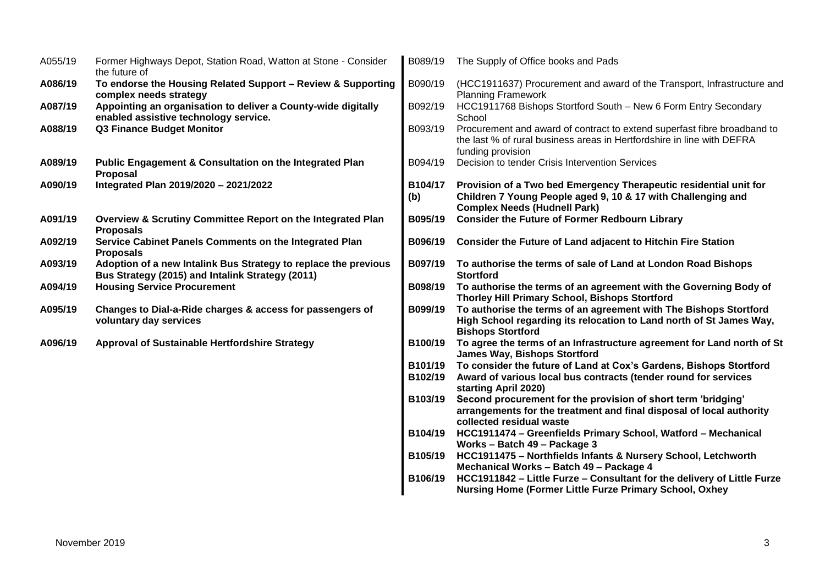| A055/19 | Former Highways Depot, Station Road, Watton at Stone - Consider<br>the future of                                    | B089/19        | The Supply of Office books and Pads                                                                                                                                      |
|---------|---------------------------------------------------------------------------------------------------------------------|----------------|--------------------------------------------------------------------------------------------------------------------------------------------------------------------------|
| A086/19 | To endorse the Housing Related Support - Review & Supporting<br>complex needs strategy                              | B090/19        | (HCC1911637) Procurement and award of the Transport, Infrastructure and<br><b>Planning Framework</b>                                                                     |
| A087/19 | Appointing an organisation to deliver a County-wide digitally<br>enabled assistive technology service.              | B092/19        | HCC1911768 Bishops Stortford South - New 6 Form Entry Secondary<br>School                                                                                                |
| A088/19 | <b>Q3 Finance Budget Monitor</b>                                                                                    | B093/19        | Procurement and award of contract to extend superfast fibre broadband to<br>the last % of rural business areas in Hertfordshire in line with DEFRA<br>funding provision  |
| A089/19 | <b>Public Engagement &amp; Consultation on the Integrated Plan</b><br>Proposal                                      | B094/19        | Decision to tender Crisis Intervention Services                                                                                                                          |
| A090/19 | Integrated Plan 2019/2020 - 2021/2022                                                                               | B104/17<br>(b) | Provision of a Two bed Emergency Therapeutic residential unit for<br>Children 7 Young People aged 9, 10 & 17 with Challenging and<br><b>Complex Needs (Hudnell Park)</b> |
| A091/19 | Overview & Scrutiny Committee Report on the Integrated Plan<br><b>Proposals</b>                                     | B095/19        | <b>Consider the Future of Former Redbourn Library</b>                                                                                                                    |
| A092/19 | Service Cabinet Panels Comments on the Integrated Plan<br><b>Proposals</b>                                          | B096/19        | <b>Consider the Future of Land adjacent to Hitchin Fire Station</b>                                                                                                      |
| A093/19 | Adoption of a new Intalink Bus Strategy to replace the previous<br>Bus Strategy (2015) and Intalink Strategy (2011) | B097/19        | To authorise the terms of sale of Land at London Road Bishops<br><b>Stortford</b>                                                                                        |
| A094/19 | <b>Housing Service Procurement</b>                                                                                  | B098/19        | To authorise the terms of an agreement with the Governing Body of<br>Thorley Hill Primary School, Bishops Stortford                                                      |
| A095/19 | Changes to Dial-a-Ride charges & access for passengers of<br>voluntary day services                                 | B099/19        | To authorise the terms of an agreement with The Bishops Stortford<br>High School regarding its relocation to Land north of St James Way,<br><b>Bishops Stortford</b>     |
| A096/19 | <b>Approval of Sustainable Hertfordshire Strategy</b>                                                               | B100/19        | To agree the terms of an Infrastructure agreement for Land north of St<br><b>James Way, Bishops Stortford</b>                                                            |
|         |                                                                                                                     | B101/19        | To consider the future of Land at Cox's Gardens, Bishops Stortford                                                                                                       |
|         |                                                                                                                     | B102/19        | Award of various local bus contracts (tender round for services<br>starting April 2020)                                                                                  |
|         |                                                                                                                     | B103/19        | Second procurement for the provision of short term 'bridging'<br>arrangements for the treatment and final disposal of local authority<br>collected residual waste        |
|         |                                                                                                                     | B104/19        | HCC1911474 - Greenfields Primary School, Watford - Mechanical                                                                                                            |
|         |                                                                                                                     |                | Works - Batch 49 - Package 3                                                                                                                                             |
|         |                                                                                                                     | B105/19        | HCC1911475 - Northfields Infants & Nursery School, Letchworth<br>Mechanical Works - Batch 49 - Package 4                                                                 |
|         |                                                                                                                     | B106/19        | HCC1911842 - Little Furze - Consultant for the delivery of Little Furze<br><b>Nursing Home (Former Little Furze Primary School, Oxhey</b>                                |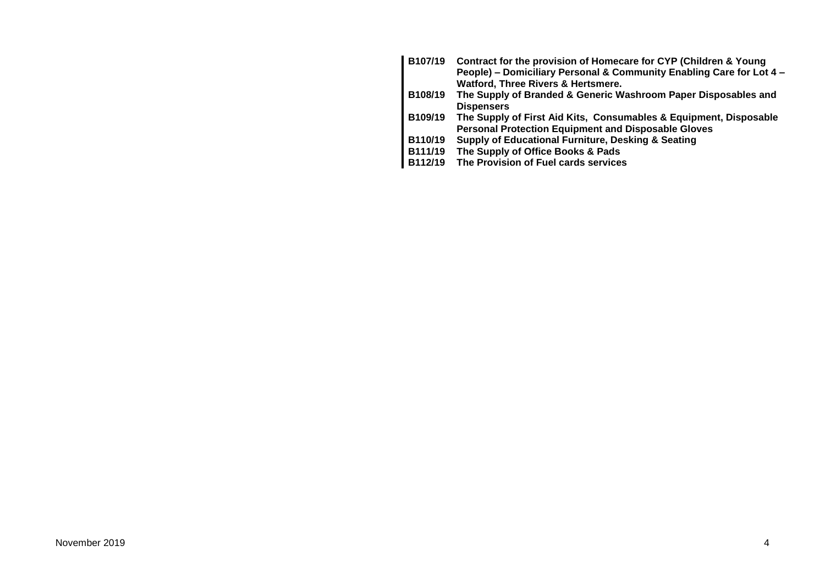| B107/19        | Contract for the provision of Homecare for CYP (Children & Young     |
|----------------|----------------------------------------------------------------------|
|                | People) - Domiciliary Personal & Community Enabling Care for Lot 4 - |
|                | Watford, Three Rivers & Hertsmere.                                   |
| B108/19        | The Supply of Branded & Generic Washroom Paper Disposables and       |
|                | <b>Dispensers</b>                                                    |
| B109/19        | The Supply of First Aid Kits, Consumables & Equipment, Disposable    |
|                | <b>Personal Protection Equipment and Disposable Gloves</b>           |
| B110/19        | <b>Supply of Educational Furniture, Desking &amp; Seating</b>        |
| <b>B111/19</b> | The Supply of Office Books & Pads                                    |
| B112/19        | The Provision of Fuel cards services                                 |
|                |                                                                      |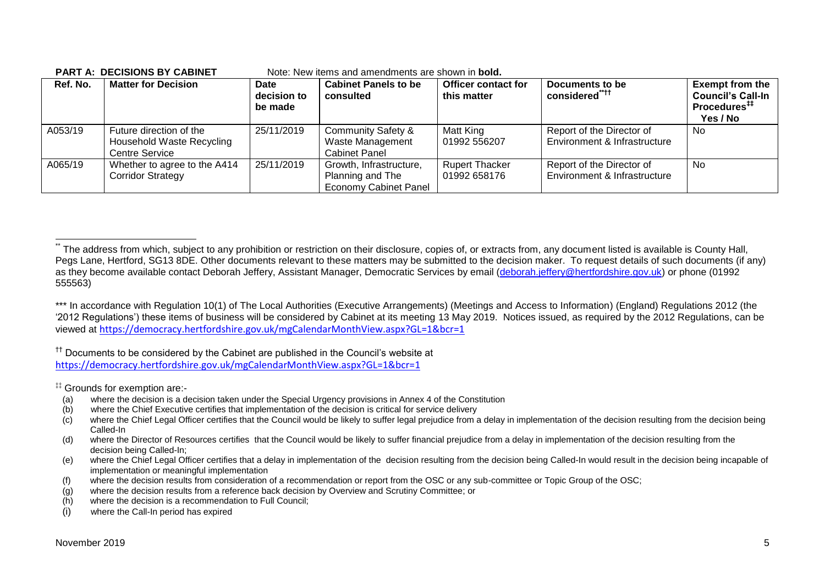| Ref. No. | <b>Matter for Decision</b>                                                    | Date<br>decision to<br>be made | <b>Cabinet Panels to be</b><br>consulted                                  | <b>Officer contact for</b><br>this matter | Documents to be<br>considered <sup>"***</sup>             | <b>Exempt from the</b><br><b>Council's Call-In</b><br>Procedures <sup>#</sup><br>Yes / No |
|----------|-------------------------------------------------------------------------------|--------------------------------|---------------------------------------------------------------------------|-------------------------------------------|-----------------------------------------------------------|-------------------------------------------------------------------------------------------|
| A053/19  | Future direction of the<br>Household Waste Recycling<br><b>Centre Service</b> | 25/11/2019                     | <b>Community Safety &amp;</b><br>Waste Management<br><b>Cabinet Panel</b> | Matt King<br>01992 556207                 | Report of the Director of<br>Environment & Infrastructure | No.                                                                                       |
| A065/19  | Whether to agree to the A414<br><b>Corridor Strategy</b>                      | 25/11/2019                     | Growth, Infrastructure,<br>Planning and The<br>Economy Cabinet Panel      | <b>Rupert Thacker</b><br>01992 658176     | Report of the Director of<br>Environment & Infrastructure | No.                                                                                       |

#### **PART A: DECISIONS BY CABINET** Note: New items and amendments are shown in **bold.**

<sup>††</sup> Documents to be considered by the Cabinet are published in the Council's website at <https://democracy.hertfordshire.gov.uk/mgCalendarMonthView.aspx?GL=1&bcr=1>

‡‡ Grounds for exemption are:-

- (a) where the decision is a decision taken under the Special Urgency provisions in Annex 4 of the Constitution
- (b) where the Chief Executive certifies that implementation of the decision is critical for service delivery
- $(c)$  where the Chief Legal Officer certifies that the Council would be likely to suffer legal prejudice from a delay in implementation of the decision resulting from the decision being Called-In
- (d) where the Director of Resources certifies that the Council would be likely to suffer financial prejudice from a delay in implementation of the decision resulting from the decision being Called-In;
- (e) where the Chief Legal Officer certifies that a delay in implementation of the decision resulting from the decision being Called-In would result in the decision being incapable of implementation or meaningful implementation
- (f) where the decision results from consideration of a recommendation or report from the OSC or any sub-committee or Topic Group of the OSC;
- (g) where the decision results from a reference back decision by Overview and Scrutiny Committee; or
- (h) where the decision is a recommendation to Full Council;
- (i) where the Call-In period has expired

1

The address from which, subject to any prohibition or restriction on their disclosure, copies of, or extracts from, any document listed is available is County Hall, Pegs Lane, Hertford, SG13 8DE. Other documents relevant to these matters may be submitted to the decision maker. To request details of such documents (if any) as they become available contact Deborah Jeffery, Assistant Manager, Democratic Services by email [\(deborah.jeffery@hertfordshire.gov.uk\)](mailto:deborah.jeffery@hertfordshire.gov.uk) or phone (01992 555563)

<sup>\*\*\*</sup> In accordance with Regulation 10(1) of The Local Authorities (Executive Arrangements) (Meetings and Access to Information) (England) Regulations 2012 (the '2012 Regulations') these items of business will be considered by Cabinet at its meeting 13 May 2019. Notices issued, as required by the 2012 Regulations, can be viewed at <https://democracy.hertfordshire.gov.uk/mgCalendarMonthView.aspx?GL=1&bcr=1>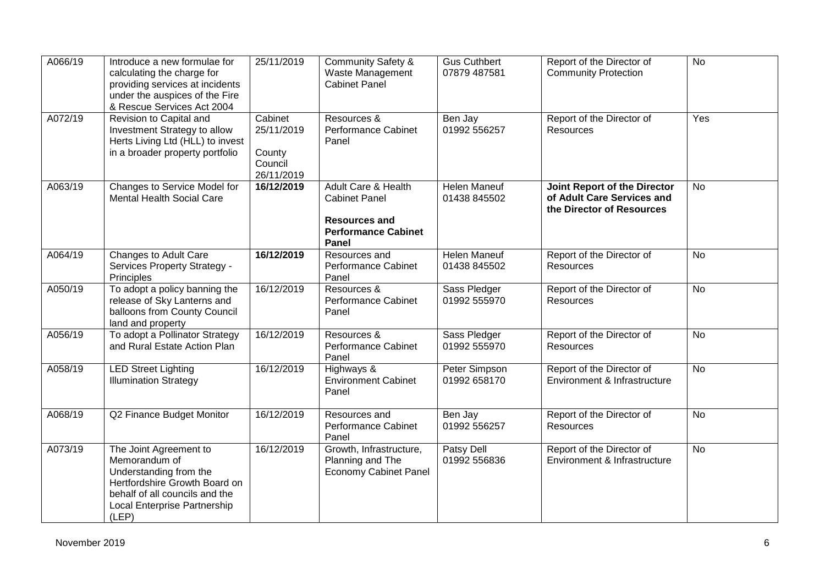| A066/19 | Introduce a new formulae for<br>calculating the charge for<br>providing services at incidents<br>under the auspices of the Fire<br>& Rescue Services Act 2004                 | 25/11/2019                                               | <b>Community Safety &amp;</b><br>Waste Management<br><b>Cabinet Panel</b>                                  | <b>Gus Cuthbert</b><br>07879 487581 | Report of the Director of<br><b>Community Protection</b>                                | $\overline{N}$ |
|---------|-------------------------------------------------------------------------------------------------------------------------------------------------------------------------------|----------------------------------------------------------|------------------------------------------------------------------------------------------------------------|-------------------------------------|-----------------------------------------------------------------------------------------|----------------|
| A072/19 | Revision to Capital and<br>Investment Strategy to allow<br>Herts Living Ltd (HLL) to invest<br>in a broader property portfolio                                                | Cabinet<br>25/11/2019<br>County<br>Council<br>26/11/2019 | Resources &<br>Performance Cabinet<br>Panel                                                                | Ben Jay<br>01992 556257             | Report of the Director of<br>Resources                                                  | Yes            |
| A063/19 | Changes to Service Model for<br><b>Mental Health Social Care</b>                                                                                                              | 16/12/2019                                               | Adult Care & Health<br><b>Cabinet Panel</b><br><b>Resources and</b><br><b>Performance Cabinet</b><br>Panel | Helen Maneuf<br>01438 845502        | Joint Report of the Director<br>of Adult Care Services and<br>the Director of Resources | No             |
| A064/19 | Changes to Adult Care<br>Services Property Strategy -<br>Principles                                                                                                           | 16/12/2019                                               | Resources and<br>Performance Cabinet<br>Panel                                                              | <b>Helen Maneuf</b><br>01438 845502 | Report of the Director of<br>Resources                                                  | <b>No</b>      |
| A050/19 | To adopt a policy banning the<br>release of Sky Lanterns and<br>balloons from County Council<br>land and property                                                             | 16/12/2019                                               | Resources &<br><b>Performance Cabinet</b><br>Panel                                                         | Sass Pledger<br>01992 555970        | Report of the Director of<br>Resources                                                  | <b>No</b>      |
| A056/19 | To adopt a Pollinator Strategy<br>and Rural Estate Action Plan                                                                                                                | 16/12/2019                                               | Resources &<br>Performance Cabinet<br>Panel                                                                | Sass Pledger<br>01992 555970        | Report of the Director of<br><b>Resources</b>                                           | $\overline{N}$ |
| A058/19 | <b>LED Street Lighting</b><br><b>Illumination Strategy</b>                                                                                                                    | 16/12/2019                                               | Highways &<br><b>Environment Cabinet</b><br>Panel                                                          | Peter Simpson<br>01992 658170       | Report of the Director of<br>Environment & Infrastructure                               | <b>No</b>      |
| A068/19 | Q2 Finance Budget Monitor                                                                                                                                                     | 16/12/2019                                               | Resources and<br><b>Performance Cabinet</b><br>Panel                                                       | Ben Jay<br>01992 556257             | Report of the Director of<br>Resources                                                  | <b>No</b>      |
| A073/19 | The Joint Agreement to<br>Memorandum of<br>Understanding from the<br>Hertfordshire Growth Board on<br>behalf of all councils and the<br>Local Enterprise Partnership<br>(LEP) | 16/12/2019                                               | Growth, Infrastructure,<br>Planning and The<br><b>Economy Cabinet Panel</b>                                | <b>Patsy Dell</b><br>01992 556836   | Report of the Director of<br>Environment & Infrastructure                               | No             |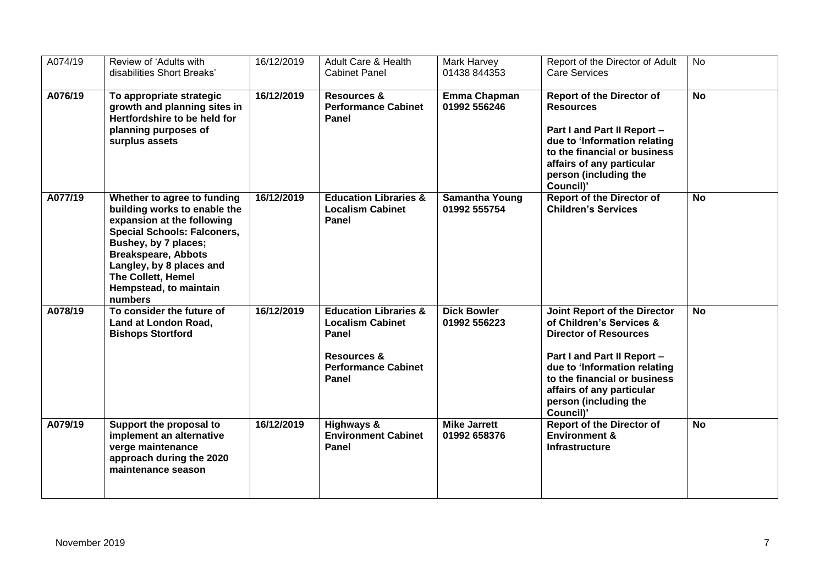| $A07\overline{4/19}$ | Review of 'Adults with<br>disabilities Short Breaks'                                                                                                                                                                                                                                | 16/12/2019 | Adult Care & Health<br><b>Cabinet Panel</b>                                                                                           | Mark Harvey<br>01438 844353           | Report of the Director of Adult<br><b>Care Services</b>                                                                                                                                                                                                    | No             |
|----------------------|-------------------------------------------------------------------------------------------------------------------------------------------------------------------------------------------------------------------------------------------------------------------------------------|------------|---------------------------------------------------------------------------------------------------------------------------------------|---------------------------------------|------------------------------------------------------------------------------------------------------------------------------------------------------------------------------------------------------------------------------------------------------------|----------------|
| A076/19              | To appropriate strategic<br>growth and planning sites in<br>Hertfordshire to be held for<br>planning purposes of<br>surplus assets                                                                                                                                                  | 16/12/2019 | <b>Resources &amp;</b><br><b>Performance Cabinet</b><br>Panel                                                                         | Emma Chapman<br>01992 556246          | <b>Report of the Director of</b><br><b>Resources</b><br>Part I and Part II Report -<br>due to 'Information relating<br>to the financial or business<br>affairs of any particular<br>person (including the<br>Council)'                                     | $\overline{N}$ |
| A077/19              | Whether to agree to funding<br>building works to enable the<br>expansion at the following<br><b>Special Schools: Falconers,</b><br>Bushey, by 7 places;<br><b>Breakspeare, Abbots</b><br>Langley, by 8 places and<br><b>The Collett, Hemel</b><br>Hempstead, to maintain<br>numbers | 16/12/2019 | <b>Education Libraries &amp;</b><br><b>Localism Cabinet</b><br>Panel                                                                  | <b>Samantha Young</b><br>01992 555754 | <b>Report of the Director of</b><br><b>Children's Services</b>                                                                                                                                                                                             | <b>No</b>      |
| A078/19              | To consider the future of<br>Land at London Road,<br><b>Bishops Stortford</b>                                                                                                                                                                                                       | 16/12/2019 | <b>Education Libraries &amp;</b><br><b>Localism Cabinet</b><br>Panel<br><b>Resources &amp;</b><br><b>Performance Cabinet</b><br>Panel | <b>Dick Bowler</b><br>01992 556223    | Joint Report of the Director<br>of Children's Services &<br><b>Director of Resources</b><br>Part I and Part II Report -<br>due to 'Information relating<br>to the financial or business<br>affairs of any particular<br>person (including the<br>Council)' | <b>No</b>      |
| A079/19              | Support the proposal to<br>implement an alternative<br>verge maintenance<br>approach during the 2020<br>maintenance season                                                                                                                                                          | 16/12/2019 | Highways &<br><b>Environment Cabinet</b><br>Panel                                                                                     | <b>Mike Jarrett</b><br>01992 658376   | <b>Report of the Director of</b><br><b>Environment &amp;</b><br><b>Infrastructure</b>                                                                                                                                                                      | <b>No</b>      |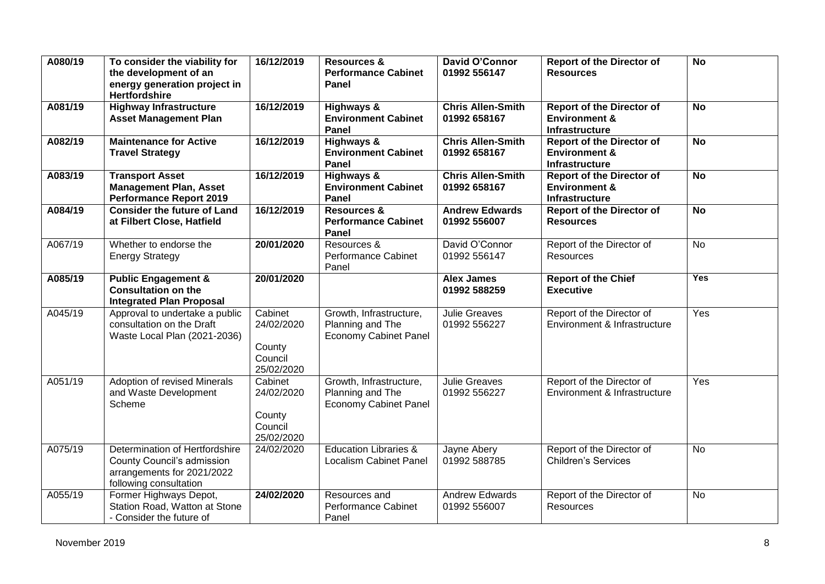| A080/19 | To consider the viability for<br>the development of an<br>energy generation project in<br><b>Hertfordshire</b>       | 16/12/2019                                               | <b>Resources &amp;</b><br><b>Performance Cabinet</b><br>Panel               | David O'Connor<br>01992 556147           | <b>Report of the Director of</b><br><b>Resources</b>                           | <b>No</b>      |
|---------|----------------------------------------------------------------------------------------------------------------------|----------------------------------------------------------|-----------------------------------------------------------------------------|------------------------------------------|--------------------------------------------------------------------------------|----------------|
| A081/19 | <b>Highway Infrastructure</b><br><b>Asset Management Plan</b>                                                        | 16/12/2019                                               | <b>Highways &amp;</b><br><b>Environment Cabinet</b><br>Panel                | <b>Chris Allen-Smith</b><br>01992 658167 | <b>Report of the Director of</b><br><b>Environment &amp;</b><br>Infrastructure | <b>No</b>      |
| A082/19 | <b>Maintenance for Active</b><br><b>Travel Strategy</b>                                                              | 16/12/2019                                               | <b>Highways &amp;</b><br><b>Environment Cabinet</b><br>Panel                | <b>Chris Allen-Smith</b><br>01992 658167 | <b>Report of the Director of</b><br><b>Environment &amp;</b><br>Infrastructure | <b>No</b>      |
| A083/19 | <b>Transport Asset</b><br><b>Management Plan, Asset</b><br><b>Performance Report 2019</b>                            | 16/12/2019                                               | <b>Highways &amp;</b><br><b>Environment Cabinet</b><br>Panel                | <b>Chris Allen-Smith</b><br>01992 658167 | <b>Report of the Director of</b><br><b>Environment &amp;</b><br>Infrastructure | <b>No</b>      |
| A084/19 | <b>Consider the future of Land</b><br>at Filbert Close, Hatfield                                                     | 16/12/2019                                               | <b>Resources &amp;</b><br><b>Performance Cabinet</b><br>Panel               | <b>Andrew Edwards</b><br>01992 556007    | <b>Report of the Director of</b><br><b>Resources</b>                           | $\overline{N}$ |
| A067/19 | Whether to endorse the<br><b>Energy Strategy</b>                                                                     | 20/01/2020                                               | Resources &<br><b>Performance Cabinet</b><br>Panel                          | David O'Connor<br>01992 556147           | Report of the Director of<br><b>Resources</b>                                  | No             |
| A085/19 | <b>Public Engagement &amp;</b><br><b>Consultation on the</b><br><b>Integrated Plan Proposal</b>                      | 20/01/2020                                               |                                                                             | <b>Alex James</b><br>01992 588259        | <b>Report of the Chief</b><br><b>Executive</b>                                 | <b>Yes</b>     |
| A045/19 | Approval to undertake a public<br>consultation on the Draft<br>Waste Local Plan (2021-2036)                          | Cabinet<br>24/02/2020<br>County<br>Council<br>25/02/2020 | Growth, Infrastructure,<br>Planning and The<br><b>Economy Cabinet Panel</b> | <b>Julie Greaves</b><br>01992 556227     | Report of the Director of<br>Environment & Infrastructure                      | Yes            |
| A051/19 | <b>Adoption of revised Minerals</b><br>and Waste Development<br>Scheme                                               | Cabinet<br>24/02/2020<br>County<br>Council<br>25/02/2020 | Growth, Infrastructure,<br>Planning and The<br><b>Economy Cabinet Panel</b> | <b>Julie Greaves</b><br>01992 556227     | Report of the Director of<br>Environment & Infrastructure                      | Yes            |
| A075/19 | Determination of Hertfordshire<br>County Council's admission<br>arrangements for 2021/2022<br>following consultation | 24/02/2020                                               | <b>Education Libraries &amp;</b><br><b>Localism Cabinet Panel</b>           | Jayne Abery<br>01992 588785              | Report of the Director of<br><b>Children's Services</b>                        | <b>No</b>      |
| A055/19 | Former Highways Depot,<br>Station Road, Watton at Stone<br>- Consider the future of                                  | 24/02/2020                                               | Resources and<br>Performance Cabinet<br>Panel                               | Andrew Edwards<br>01992 556007           | Report of the Director of<br>Resources                                         | <b>No</b>      |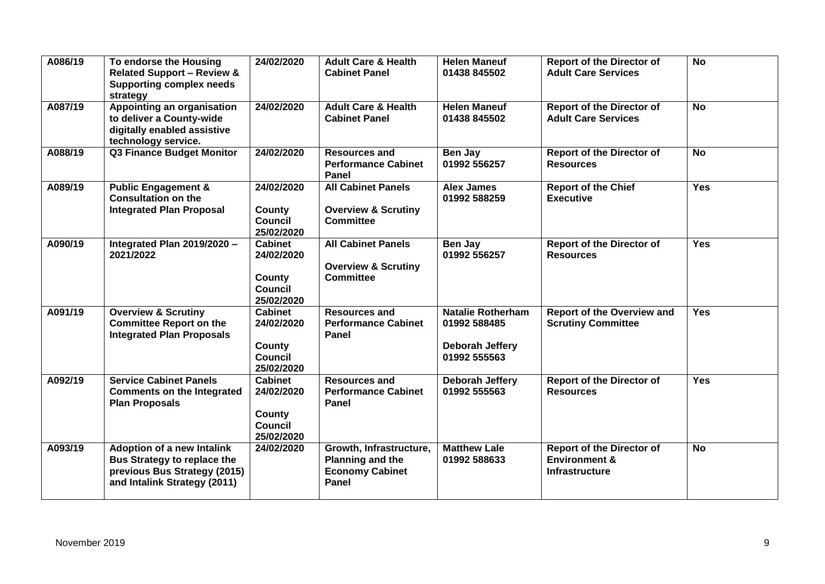| A086/19 | To endorse the Housing<br><b>Related Support - Review &amp;</b><br><b>Supporting complex needs</b><br>strategy                   | 24/02/2020                                                                    | <b>Adult Care &amp; Health</b><br><b>Cabinet Panel</b>                          | <b>Helen Maneuf</b><br>01438 845502                                         | <b>Report of the Director of</b><br><b>Adult Care Services</b>                        | <b>No</b>  |
|---------|----------------------------------------------------------------------------------------------------------------------------------|-------------------------------------------------------------------------------|---------------------------------------------------------------------------------|-----------------------------------------------------------------------------|---------------------------------------------------------------------------------------|------------|
| A087/19 | <b>Appointing an organisation</b><br>to deliver a County-wide<br>digitally enabled assistive<br>technology service.              | 24/02/2020                                                                    | <b>Adult Care &amp; Health</b><br><b>Cabinet Panel</b>                          | <b>Helen Maneuf</b><br>01438 845502                                         | <b>Report of the Director of</b><br><b>Adult Care Services</b>                        | <b>No</b>  |
| A088/19 | <b>Q3 Finance Budget Monitor</b>                                                                                                 | 24/02/2020                                                                    | <b>Resources and</b><br><b>Performance Cabinet</b><br>Panel                     | Ben Jay<br>01992 556257                                                     | <b>Report of the Director of</b><br><b>Resources</b>                                  | <b>No</b>  |
| A089/19 | <b>Public Engagement &amp;</b><br><b>Consultation on the</b><br><b>Integrated Plan Proposal</b>                                  | 24/02/2020<br><b>County</b><br><b>Council</b><br>25/02/2020                   | <b>All Cabinet Panels</b><br><b>Overview &amp; Scrutiny</b><br><b>Committee</b> | <b>Alex James</b><br>01992 588259                                           | <b>Report of the Chief</b><br><b>Executive</b>                                        | <b>Yes</b> |
| A090/19 | Integrated Plan 2019/2020 -<br>2021/2022                                                                                         | <b>Cabinet</b><br>24/02/2020<br><b>County</b><br><b>Council</b><br>25/02/2020 | <b>All Cabinet Panels</b><br><b>Overview &amp; Scrutiny</b><br><b>Committee</b> | Ben Jay<br>01992 556257                                                     | <b>Report of the Director of</b><br><b>Resources</b>                                  | <b>Yes</b> |
| A091/19 | <b>Overview &amp; Scrutiny</b><br><b>Committee Report on the</b><br><b>Integrated Plan Proposals</b>                             | <b>Cabinet</b><br>24/02/2020<br>County<br><b>Council</b><br>25/02/2020        | <b>Resources and</b><br><b>Performance Cabinet</b><br>Panel                     | <b>Natalie Rotherham</b><br>01992 588485<br>Deborah Jeffery<br>01992 555563 | <b>Report of the Overview and</b><br><b>Scrutiny Committee</b>                        | <b>Yes</b> |
| A092/19 | <b>Service Cabinet Panels</b><br><b>Comments on the Integrated</b><br><b>Plan Proposals</b>                                      | <b>Cabinet</b><br>24/02/2020<br>County<br>Council<br>25/02/2020               | <b>Resources and</b><br><b>Performance Cabinet</b><br>Panel                     | Deborah Jeffery<br>01992 555563                                             | <b>Report of the Director of</b><br><b>Resources</b>                                  | <b>Yes</b> |
| A093/19 | <b>Adoption of a new Intalink</b><br>Bus Strategy to replace the<br>previous Bus Strategy (2015)<br>and Intalink Strategy (2011) | 24/02/2020                                                                    | Growth, Infrastructure,<br>Planning and the<br><b>Economy Cabinet</b><br>Panel  | <b>Matthew Lale</b><br>01992 588633                                         | <b>Report of the Director of</b><br><b>Environment &amp;</b><br><b>Infrastructure</b> | <b>No</b>  |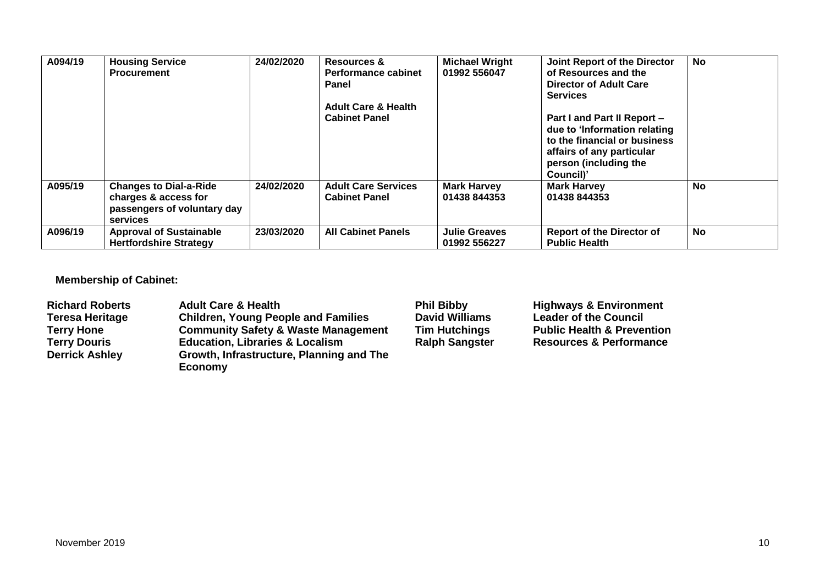| A094/19 | <b>Housing Service</b><br><b>Procurement</b>                                                     | 24/02/2020 | <b>Resources &amp;</b><br><b>Performance cabinet</b><br><b>Panel</b><br><b>Adult Care &amp; Health</b><br><b>Cabinet Panel</b> | <b>Michael Wright</b><br>01992 556047 | Joint Report of the Director<br>of Resources and the<br>Director of Adult Care<br><b>Services</b><br>Part I and Part II Report -<br>due to 'Information relating<br>to the financial or business<br>affairs of any particular<br>person (including the<br>Council)' | <b>No</b> |
|---------|--------------------------------------------------------------------------------------------------|------------|--------------------------------------------------------------------------------------------------------------------------------|---------------------------------------|---------------------------------------------------------------------------------------------------------------------------------------------------------------------------------------------------------------------------------------------------------------------|-----------|
| A095/19 | <b>Changes to Dial-a-Ride</b><br>charges & access for<br>passengers of voluntary day<br>services | 24/02/2020 | <b>Adult Care Services</b><br><b>Cabinet Panel</b>                                                                             | <b>Mark Harvey</b><br>01438 844353    | <b>Mark Harvey</b><br>01438 844353                                                                                                                                                                                                                                  | <b>No</b> |
| A096/19 | <b>Approval of Sustainable</b><br><b>Hertfordshire Strategy</b>                                  | 23/03/2020 | <b>All Cabinet Panels</b>                                                                                                      | <b>Julie Greaves</b><br>01992 556227  | <b>Report of the Director of</b><br><b>Public Health</b>                                                                                                                                                                                                            | <b>No</b> |

## **Membership of Cabinet:**

| <b>Richard Roberts</b> | <b>Adult Care &amp; Health</b>                 | <b>Phil Bibby</b>     | <b>Highways &amp; Environment</b>     |
|------------------------|------------------------------------------------|-----------------------|---------------------------------------|
| Teresa Heritage        | <b>Children, Young People and Families</b>     | <b>David Williams</b> | <b>Leader of the Council</b>          |
| <b>Terry Hone</b>      | <b>Community Safety &amp; Waste Management</b> | <b>Tim Hutchings</b>  | <b>Public Health &amp; Prevention</b> |
| <b>Terry Douris</b>    | <b>Education, Libraries &amp; Localism</b>     | <b>Ralph Sangster</b> | <b>Resources &amp; Performance</b>    |
| <b>Derrick Ashley</b>  | Growth, Infrastructure, Planning and The       |                       |                                       |
|                        | Economy                                        |                       |                                       |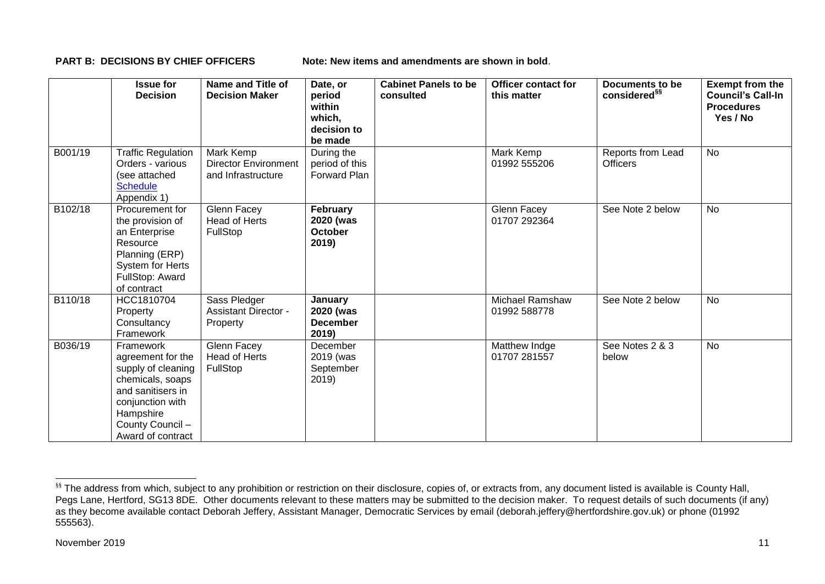**PART B: DECISIONS BY CHIEF OFFICERS Note: New items and amendments are shown in bold.** 

|         | <b>Issue for</b><br><b>Decision</b>                                                                                                                                     | Name and Title of<br><b>Decision Maker</b>                     | Date, or<br>period<br>within<br>which,<br>decision to<br>be made | <b>Cabinet Panels to be</b><br>consulted | <b>Officer contact for</b><br>this matter | Documents to be<br>considered <sup>§§</sup> | <b>Exempt from the</b><br><b>Council's Call-In</b><br><b>Procedures</b><br>Yes / No |
|---------|-------------------------------------------------------------------------------------------------------------------------------------------------------------------------|----------------------------------------------------------------|------------------------------------------------------------------|------------------------------------------|-------------------------------------------|---------------------------------------------|-------------------------------------------------------------------------------------|
| B001/19 | <b>Traffic Regulation</b><br>Orders - various<br>(see attached<br><b>Schedule</b><br>Appendix 1)                                                                        | Mark Kemp<br><b>Director Environment</b><br>and Infrastructure | During the<br>period of this<br>Forward Plan                     |                                          | Mark Kemp<br>01992 555206                 | Reports from Lead<br><b>Officers</b>        | <b>No</b>                                                                           |
| B102/18 | Procurement for<br>the provision of<br>an Enterprise<br>Resource<br>Planning (ERP)<br>System for Herts<br>FullStop: Award<br>of contract                                | Glenn Facey<br><b>Head of Herts</b><br>FullStop                | February<br>2020 (was<br><b>October</b><br>2019)                 |                                          | Glenn Facey<br>01707 292364               | See Note 2 below                            | No                                                                                  |
| B110/18 | HCC1810704<br>Property<br>Consultancy<br>Framework                                                                                                                      | Sass Pledger<br><b>Assistant Director -</b><br>Property        | January<br>2020 (was<br><b>December</b><br>2019)                 |                                          | <b>Michael Ramshaw</b><br>01992 588778    | See Note 2 below                            | <b>No</b>                                                                           |
| B036/19 | Framework<br>agreement for the<br>supply of cleaning<br>chemicals, soaps<br>and sanitisers in<br>conjunction with<br>Hampshire<br>County Council -<br>Award of contract | Glenn Facey<br>Head of Herts<br>FullStop                       | December<br>2019 (was<br>September<br>2019                       |                                          | Matthew Indge<br>01707 281557             | See Notes 2 & 3<br>below                    | <b>No</b>                                                                           |

-

<sup>&</sup>lt;sup>§§</sup> The address from which, subject to any prohibition or restriction on their disclosure, copies of, or extracts from, any document listed is available is County Hall, Pegs Lane, Hertford, SG13 8DE. Other documents relevant to these matters may be submitted to the decision maker. To request details of such documents (if any) as they become available contact Deborah Jeffery, Assistant Manager, Democratic Services by email (deborah.jeffery@hertfordshire.gov.uk) or phone (01992 555563).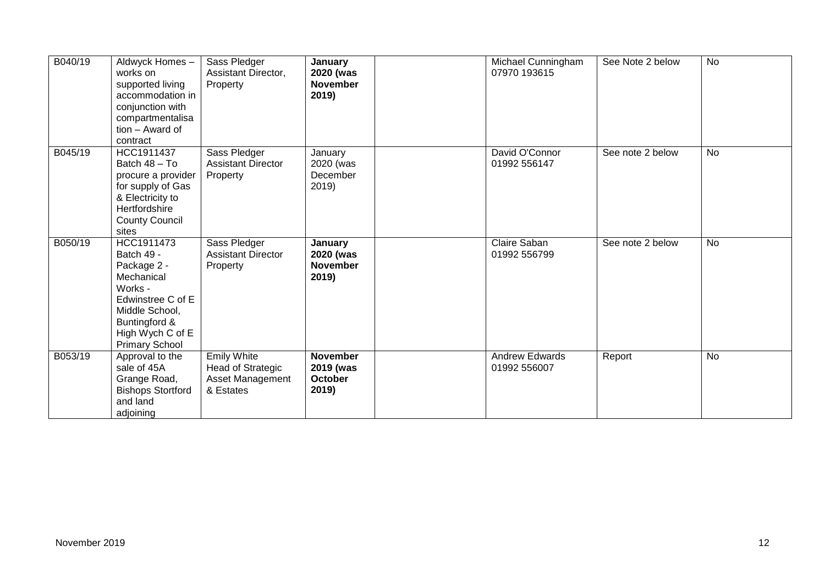| B040/19 | Aldwyck Homes-<br>works on<br>supported living<br>accommodation in<br>conjunction with<br>compartmentalisa<br>tion - Award of<br>contract                             | Sass Pledger<br>Assistant Director,<br>Property                          | January<br>2020 (was<br><b>November</b><br>2019) | Michael Cunningham<br>07970 193615    | See Note 2 below | <b>No</b> |
|---------|-----------------------------------------------------------------------------------------------------------------------------------------------------------------------|--------------------------------------------------------------------------|--------------------------------------------------|---------------------------------------|------------------|-----------|
| B045/19 | HCC1911437<br>Batch 48 - To<br>procure a provider<br>for supply of Gas<br>& Electricity to<br>Hertfordshire<br><b>County Council</b><br>sites                         | Sass Pledger<br><b>Assistant Director</b><br>Property                    | January<br>2020 (was<br>December<br>2019         | David O'Connor<br>01992 556147        | See note 2 below | <b>No</b> |
| B050/19 | HCC1911473<br>Batch 49 -<br>Package 2 -<br>Mechanical<br>Works -<br>Edwinstree C of E<br>Middle School,<br>Buntingford &<br>High Wych C of E<br><b>Primary School</b> | Sass Pledger<br><b>Assistant Director</b><br>Property                    | January<br>2020 (was<br><b>November</b><br>2019) | Claire Saban<br>01992 556799          | See note 2 below | <b>No</b> |
| B053/19 | Approval to the<br>sale of 45A<br>Grange Road,<br><b>Bishops Stortford</b><br>and land<br>adjoining                                                                   | <b>Emily White</b><br>Head of Strategic<br>Asset Management<br>& Estates | <b>November</b><br>2019 (was<br>October<br>2019) | <b>Andrew Edwards</b><br>01992 556007 | Report           | No        |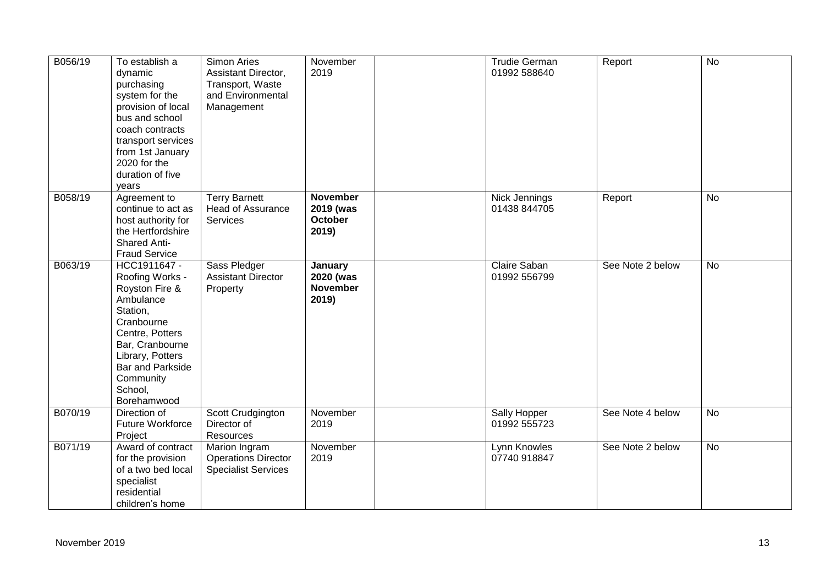| B056/19 | To establish a<br>dynamic<br>purchasing<br>system for the<br>provision of local<br>bus and school<br>coach contracts<br>transport services<br>from 1st January<br>2020 for the<br>duration of five<br>years          | Simon Aries<br>Assistant Director,<br>Transport, Waste<br>and Environmental<br>Management | November<br>2019                                        | <b>Trudie German</b><br>01992 588640 | Report           | <b>No</b> |
|---------|----------------------------------------------------------------------------------------------------------------------------------------------------------------------------------------------------------------------|-------------------------------------------------------------------------------------------|---------------------------------------------------------|--------------------------------------|------------------|-----------|
| B058/19 | Agreement to<br>continue to act as<br>host authority for<br>the Hertfordshire<br><b>Shared Anti-</b><br><b>Fraud Service</b>                                                                                         | <b>Terry Barnett</b><br><b>Head of Assurance</b><br>Services                              | <b>November</b><br>2019 (was<br><b>October</b><br>2019) | Nick Jennings<br>01438 844705        | Report           | No        |
| B063/19 | HCC1911647 -<br>Roofing Works -<br>Royston Fire &<br>Ambulance<br>Station,<br>Cranbourne<br>Centre, Potters<br>Bar, Cranbourne<br>Library, Potters<br><b>Bar and Parkside</b><br>Community<br>School,<br>Borehamwood | Sass Pledger<br><b>Assistant Director</b><br>Property                                     | January<br>2020 (was<br><b>November</b><br>2019)        | Claire Saban<br>01992 556799         | See Note 2 below | <b>No</b> |
| B070/19 | Direction of<br><b>Future Workforce</b><br>Project                                                                                                                                                                   | Scott Crudgington<br>Director of<br>Resources                                             | November<br>2019                                        | Sally Hopper<br>01992 555723         | See Note 4 below | <b>No</b> |
| B071/19 | Award of contract<br>for the provision<br>of a two bed local<br>specialist<br>residential<br>children's home                                                                                                         | Marion Ingram<br><b>Operations Director</b><br><b>Specialist Services</b>                 | November<br>2019                                        | Lynn Knowles<br>07740 918847         | See Note 2 below | <b>No</b> |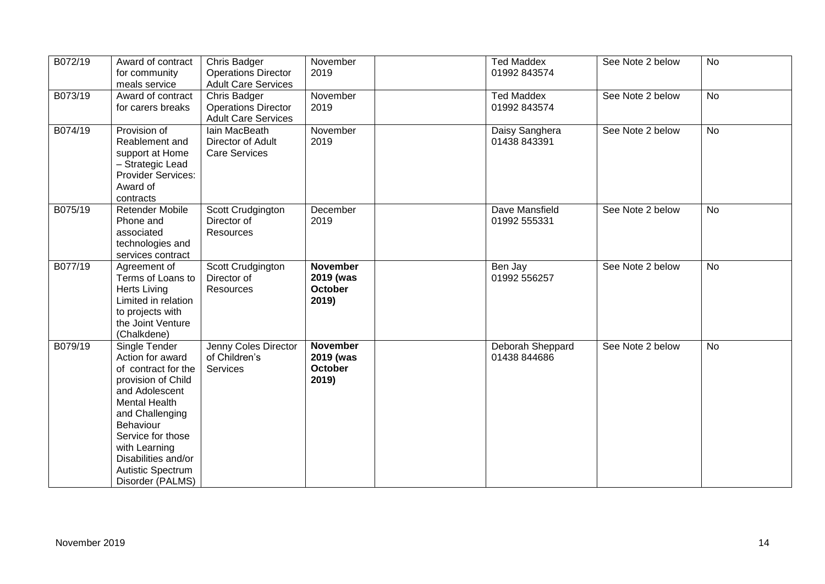| B072/19 | Award of contract<br>for community<br>meals service                                                                                                                                                                                                            | Chris Badger<br><b>Operations Director</b><br><b>Adult Care Services</b> | November<br>2019                                        | <b>Ted Maddex</b><br>01992 843574 | See Note 2 below | <b>No</b> |
|---------|----------------------------------------------------------------------------------------------------------------------------------------------------------------------------------------------------------------------------------------------------------------|--------------------------------------------------------------------------|---------------------------------------------------------|-----------------------------------|------------------|-----------|
| B073/19 | Award of contract<br>for carers breaks                                                                                                                                                                                                                         | Chris Badger<br><b>Operations Director</b><br><b>Adult Care Services</b> | November<br>2019                                        | <b>Ted Maddex</b><br>01992 843574 | See Note 2 below | <b>No</b> |
| B074/19 | Provision of<br>Reablement and<br>support at Home<br>- Strategic Lead<br><b>Provider Services:</b><br>Award of<br>contracts                                                                                                                                    | lain MacBeath<br>Director of Adult<br><b>Care Services</b>               | November<br>2019                                        | Daisy Sanghera<br>01438 843391    | See Note 2 below | No        |
| B075/19 | <b>Retender Mobile</b><br>Phone and<br>associated<br>technologies and<br>services contract                                                                                                                                                                     | Scott Crudgington<br>Director of<br><b>Resources</b>                     | December<br>2019                                        | Dave Mansfield<br>01992 555331    | See Note 2 below | No        |
| B077/19 | Agreement of<br>Terms of Loans to<br><b>Herts Living</b><br>Limited in relation<br>to projects with<br>the Joint Venture<br>(Chalkdene)                                                                                                                        | Scott Crudgington<br>Director of<br>Resources                            | <b>November</b><br>2019 (was<br><b>October</b><br>2019) | Ben Jay<br>01992 556257           | See Note 2 below | <b>No</b> |
| B079/19 | Single Tender<br>Action for award<br>of contract for the<br>provision of Child<br>and Adolescent<br><b>Mental Health</b><br>and Challenging<br>Behaviour<br>Service for those<br>with Learning<br>Disabilities and/or<br>Autistic Spectrum<br>Disorder (PALMS) | Jenny Coles Director<br>of Children's<br>Services                        | <b>November</b><br>2019 (was<br><b>October</b><br>2019) | Deborah Sheppard<br>01438 844686  | See Note 2 below | <b>No</b> |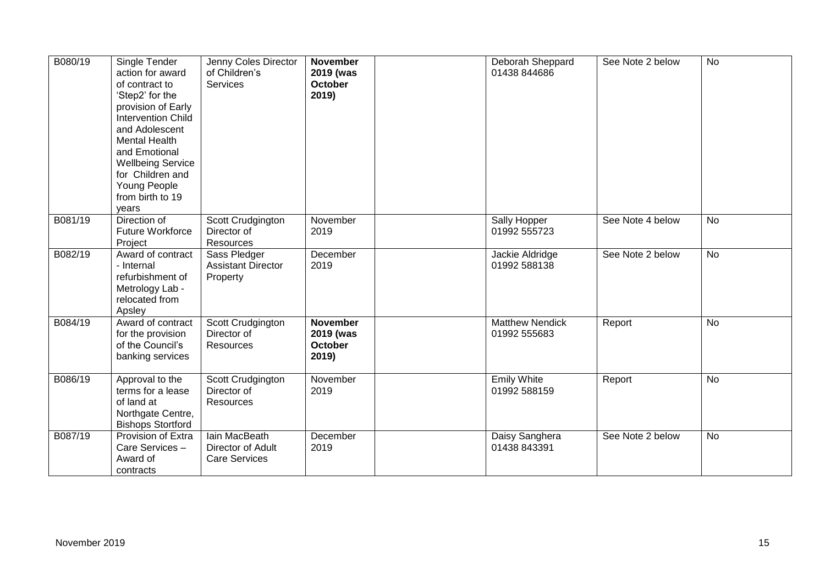| B080/19 | Single Tender<br>action for award<br>of contract to<br>'Step2' for the<br>provision of Early<br><b>Intervention Child</b><br>and Adolescent<br><b>Mental Health</b><br>and Emotional<br><b>Wellbeing Service</b><br>for Children and<br>Young People<br>from birth to 19<br>years | Jenny Coles Director<br>of Children's<br><b>Services</b>   | <b>November</b><br>2019 (was<br><b>October</b><br>2019) | Deborah Sheppard<br>01438 844686       | See Note 2 below | <b>No</b>      |
|---------|-----------------------------------------------------------------------------------------------------------------------------------------------------------------------------------------------------------------------------------------------------------------------------------|------------------------------------------------------------|---------------------------------------------------------|----------------------------------------|------------------|----------------|
| B081/19 | Direction of<br><b>Future Workforce</b><br>Project                                                                                                                                                                                                                                | Scott Crudgington<br>Director of<br>Resources              | November<br>2019                                        | Sally Hopper<br>01992 555723           | See Note 4 below | <b>No</b>      |
| B082/19 | Award of contract<br>- Internal<br>refurbishment of<br>Metrology Lab -<br>relocated from<br>Apsley                                                                                                                                                                                | Sass Pledger<br><b>Assistant Director</b><br>Property      | December<br>2019                                        | Jackie Aldridge<br>01992 588138        | See Note 2 below | <b>No</b>      |
| B084/19 | Award of contract<br>for the provision<br>of the Council's<br>banking services                                                                                                                                                                                                    | Scott Crudgington<br>Director of<br>Resources              | <b>November</b><br>2019 (was<br><b>October</b><br>2019) | <b>Matthew Nendick</b><br>01992 555683 | Report           | <b>No</b>      |
| B086/19 | Approval to the<br>terms for a lease<br>of land at<br>Northgate Centre,<br><b>Bishops Stortford</b>                                                                                                                                                                               | Scott Crudgington<br>Director of<br>Resources              | November<br>2019                                        | <b>Emily White</b><br>01992 588159     | Report           | $\overline{N}$ |
| B087/19 | Provision of Extra<br>Care Services -<br>Award of<br>contracts                                                                                                                                                                                                                    | lain MacBeath<br>Director of Adult<br><b>Care Services</b> | December<br>2019                                        | Daisy Sanghera<br>01438 843391         | See Note 2 below | <b>No</b>      |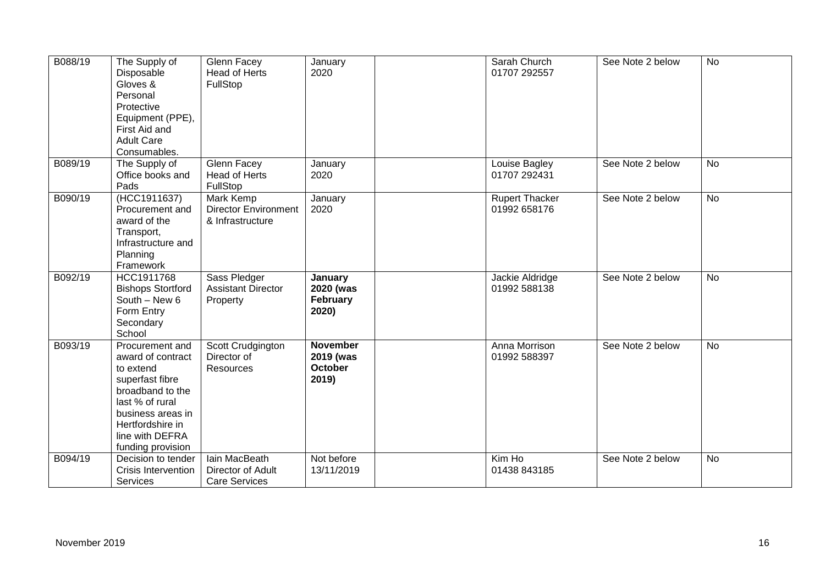| B088/19 | The Supply of<br>Disposable<br>Gloves &<br>Personal<br>Protective<br>Equipment (PPE),<br>First Aid and<br><b>Adult Care</b><br>Consumables.                                                  | Glenn Facey<br>Head of Herts<br>FullStop                            | January<br>2020                                         | Sarah Church<br>01707 292557          | See Note 2 below | <b>No</b>      |
|---------|----------------------------------------------------------------------------------------------------------------------------------------------------------------------------------------------|---------------------------------------------------------------------|---------------------------------------------------------|---------------------------------------|------------------|----------------|
| B089/19 | The Supply of<br>Office books and<br>Pads                                                                                                                                                    | Glenn Facey<br>Head of Herts<br>FullStop                            | January<br>2020                                         | Louise Bagley<br>01707 292431         | See Note 2 below | <b>No</b>      |
| B090/19 | (HCC1911637)<br>Procurement and<br>award of the<br>Transport,<br>Infrastructure and<br>Planning<br>Framework                                                                                 | <b>Mark Kemp</b><br><b>Director Environment</b><br>& Infrastructure | January<br>2020                                         | <b>Rupert Thacker</b><br>01992 658176 | See Note 2 below | $\overline{N}$ |
| B092/19 | HCC1911768<br><b>Bishops Stortford</b><br>South - New 6<br>Form Entry<br>Secondary<br>School                                                                                                 | Sass Pledger<br><b>Assistant Director</b><br>Property               | January<br>2020 (was<br>February<br>2020)               | Jackie Aldridge<br>01992 588138       | See Note 2 below | <b>No</b>      |
| B093/19 | Procurement and<br>award of contract<br>to extend<br>superfast fibre<br>broadband to the<br>last % of rural<br>business areas in<br>Hertfordshire in<br>line with DEFRA<br>funding provision | Scott Crudgington<br>Director of<br>Resources                       | <b>November</b><br>2019 (was<br><b>October</b><br>2019) | Anna Morrison<br>01992 588397         | See Note 2 below | <b>No</b>      |
| B094/19 | Decision to tender<br>Crisis Intervention<br>Services                                                                                                                                        | lain MacBeath<br>Director of Adult<br><b>Care Services</b>          | Not before<br>13/11/2019                                | Kim Ho<br>01438 843185                | See Note 2 below | <b>No</b>      |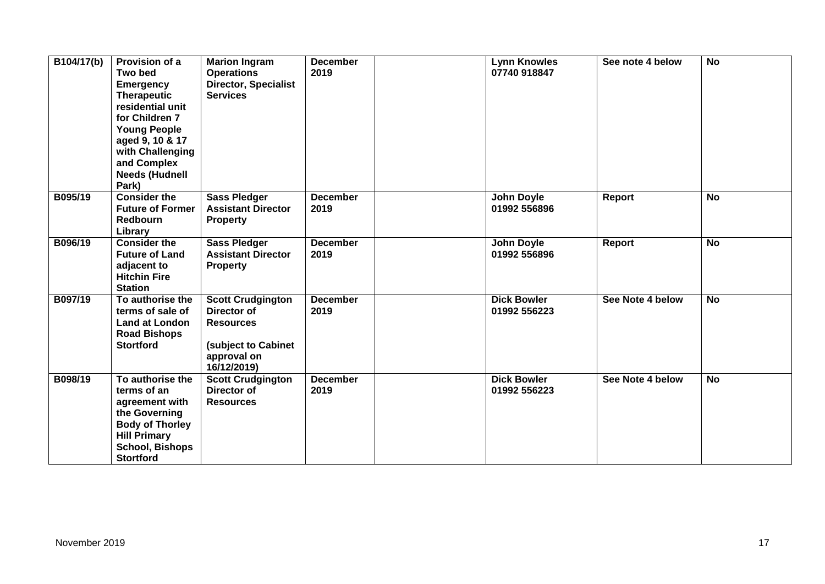| $\overline{B104/17(b)}$ | Provision of a<br><b>Two bed</b><br><b>Emergency</b><br><b>Therapeutic</b><br>residential unit<br>for Children 7<br><b>Young People</b><br>aged 9, 10 & 17<br>with Challenging<br>and Complex<br><b>Needs (Hudnell</b><br>Park) | <b>Marion Ingram</b><br><b>Operations</b><br><b>Director, Specialist</b><br><b>Services</b>                      | <b>December</b><br>2019 | <b>Lynn Knowles</b><br>07740 918847 | See note 4 below | <b>No</b>      |
|-------------------------|---------------------------------------------------------------------------------------------------------------------------------------------------------------------------------------------------------------------------------|------------------------------------------------------------------------------------------------------------------|-------------------------|-------------------------------------|------------------|----------------|
| B095/19                 | <b>Consider the</b><br><b>Future of Former</b><br><b>Redbourn</b><br>Library                                                                                                                                                    | <b>Sass Pledger</b><br><b>Assistant Director</b><br><b>Property</b>                                              | <b>December</b><br>2019 | John Doyle<br>01992 556896          | Report           | <b>No</b>      |
| B096/19                 | <b>Consider the</b><br><b>Future of Land</b><br>adjacent to<br><b>Hitchin Fire</b><br><b>Station</b>                                                                                                                            | <b>Sass Pledger</b><br><b>Assistant Director</b><br><b>Property</b>                                              | <b>December</b><br>2019 | <b>John Doyle</b><br>01992 556896   | Report           | <b>No</b>      |
| B097/19                 | To authorise the<br>terms of sale of<br><b>Land at London</b><br><b>Road Bishops</b><br><b>Stortford</b>                                                                                                                        | <b>Scott Crudgington</b><br>Director of<br><b>Resources</b><br>(subject to Cabinet<br>approval on<br>16/12/2019) | <b>December</b><br>2019 | <b>Dick Bowler</b><br>01992 556223  | See Note 4 below | $\overline{N}$ |
| B098/19                 | To authorise the<br>terms of an<br>agreement with<br>the Governing<br><b>Body of Thorley</b><br><b>Hill Primary</b><br><b>School, Bishops</b><br><b>Stortford</b>                                                               | <b>Scott Crudgington</b><br>Director of<br><b>Resources</b>                                                      | <b>December</b><br>2019 | <b>Dick Bowler</b><br>01992 556223  | See Note 4 below | <b>No</b>      |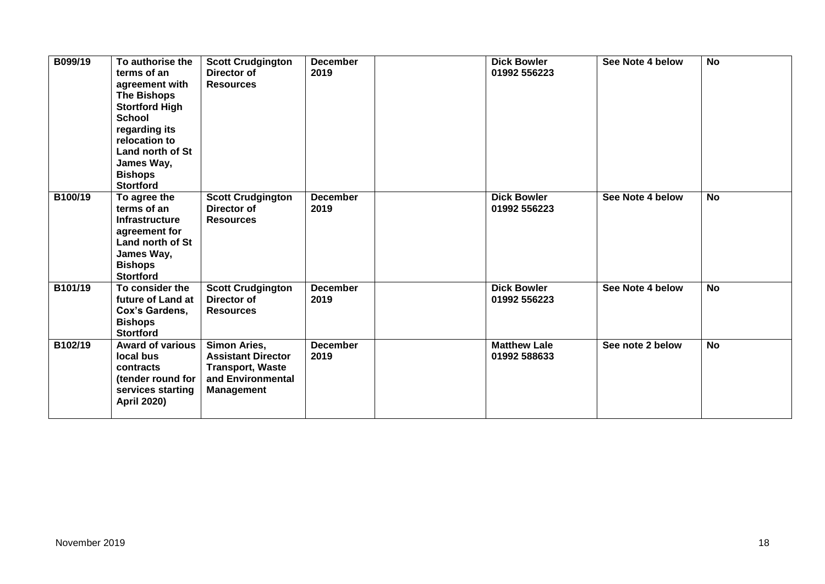| B099/19 | To authorise the<br>terms of an<br>agreement with<br><b>The Bishops</b><br><b>Stortford High</b><br><b>School</b><br>regarding its<br>relocation to<br>Land north of St<br>James Way,<br><b>Bishops</b><br><b>Stortford</b> | <b>Scott Crudgington</b><br>Director of<br><b>Resources</b>                                                    | <b>December</b><br>2019 | <b>Dick Bowler</b><br>01992 556223  | See Note 4 below | <b>No</b> |
|---------|-----------------------------------------------------------------------------------------------------------------------------------------------------------------------------------------------------------------------------|----------------------------------------------------------------------------------------------------------------|-------------------------|-------------------------------------|------------------|-----------|
| B100/19 | To agree the<br>terms of an<br><b>Infrastructure</b><br>agreement for<br>Land north of St<br>James Way,<br><b>Bishops</b><br><b>Stortford</b>                                                                               | <b>Scott Crudgington</b><br>Director of<br><b>Resources</b>                                                    | <b>December</b><br>2019 | <b>Dick Bowler</b><br>01992 556223  | See Note 4 below | <b>No</b> |
| B101/19 | To consider the<br>future of Land at<br>Cox's Gardens,<br><b>Bishops</b><br><b>Stortford</b>                                                                                                                                | <b>Scott Crudgington</b><br>Director of<br><b>Resources</b>                                                    | <b>December</b><br>2019 | <b>Dick Bowler</b><br>01992 556223  | See Note 4 below | <b>No</b> |
| B102/19 | <b>Award of various</b><br>local bus<br>contracts<br>(tender round for<br>services starting<br><b>April 2020)</b>                                                                                                           | Simon Aries,<br><b>Assistant Director</b><br><b>Transport, Waste</b><br>and Environmental<br><b>Management</b> | <b>December</b><br>2019 | <b>Matthew Lale</b><br>01992 588633 | See note 2 below | <b>No</b> |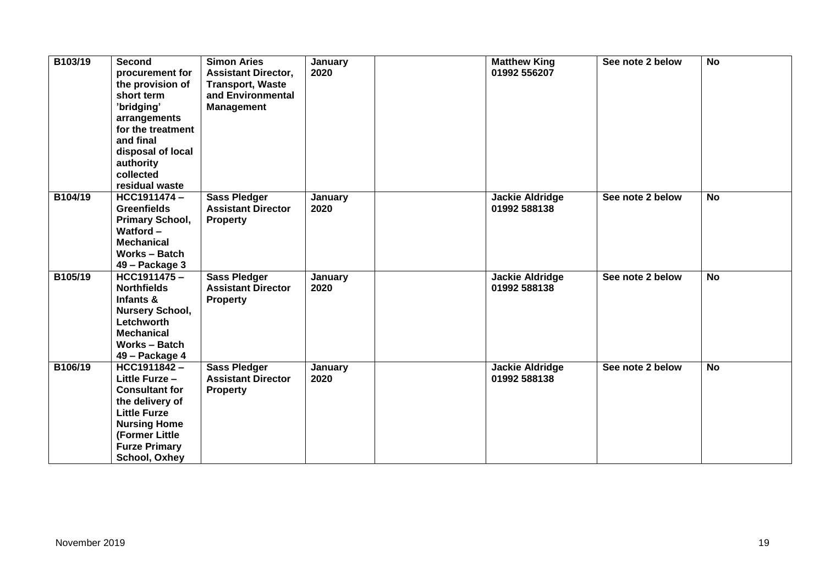| B103/19 | Second<br>procurement for<br>the provision of<br>short term<br>'bridging'<br>arrangements<br>for the treatment<br>and final<br>disposal of local<br>authority<br>collected<br>residual waste | <b>Simon Aries</b><br><b>Assistant Director,</b><br><b>Transport, Waste</b><br>and Environmental<br><b>Management</b> | January<br>2020 | <b>Matthew King</b><br>01992 556207    | See note 2 below | <b>No</b> |
|---------|----------------------------------------------------------------------------------------------------------------------------------------------------------------------------------------------|-----------------------------------------------------------------------------------------------------------------------|-----------------|----------------------------------------|------------------|-----------|
| B104/19 | HCC1911474-<br><b>Greenfields</b><br>Primary School,<br>Watford $-$<br><b>Mechanical</b><br><b>Works - Batch</b><br>49 – Package 3                                                           | <b>Sass Pledger</b><br><b>Assistant Director</b><br><b>Property</b>                                                   | January<br>2020 | <b>Jackie Aldridge</b><br>01992 588138 | See note 2 below | <b>No</b> |
| B105/19 | HCC1911475-<br><b>Northfields</b><br>Infants &<br><b>Nursery School,</b><br>Letchworth<br><b>Mechanical</b><br>Works - Batch<br>49 – Package 4                                               | <b>Sass Pledger</b><br><b>Assistant Director</b><br><b>Property</b>                                                   | January<br>2020 | <b>Jackie Aldridge</b><br>01992 588138 | See note 2 below | <b>No</b> |
| B106/19 | HCC1911842-<br>Little Furze -<br><b>Consultant for</b><br>the delivery of<br><b>Little Furze</b><br><b>Nursing Home</b><br>(Former Little<br><b>Furze Primary</b><br>School, Oxhey           | <b>Sass Pledger</b><br><b>Assistant Director</b><br><b>Property</b>                                                   | January<br>2020 | <b>Jackie Aldridge</b><br>01992 588138 | See note 2 below | <b>No</b> |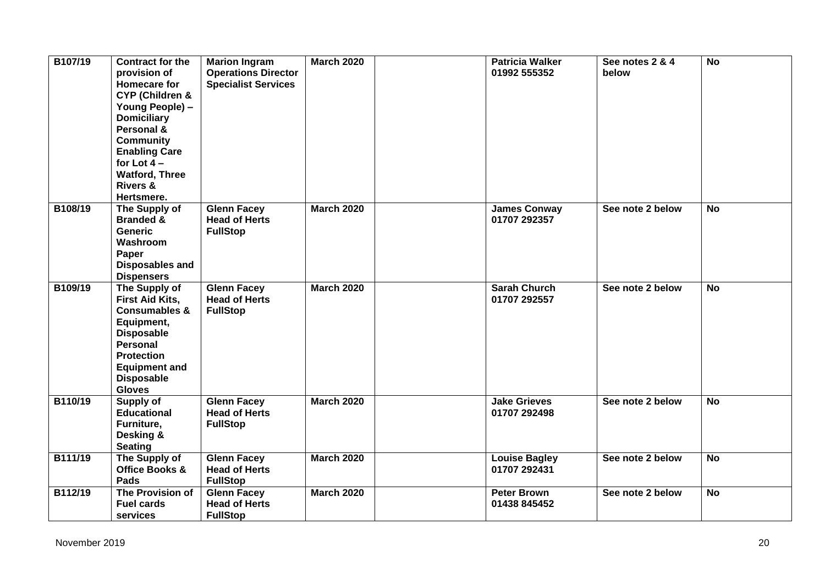| B107/19 | <b>Contract for the</b><br>provision of<br>Homecare for<br><b>CYP (Children &amp;</b><br>Young People) -<br><b>Domiciliary</b><br>Personal &<br><b>Community</b><br><b>Enabling Care</b><br>for Lot $4-$<br><b>Watford, Three</b><br><b>Rivers &amp;</b><br>Hertsmere. | <b>Marion Ingram</b><br><b>Operations Director</b><br><b>Specialist Services</b> | <b>March 2020</b> | <b>Patricia Walker</b><br>01992 555352 | See notes 2 & 4<br>below | <b>No</b> |
|---------|------------------------------------------------------------------------------------------------------------------------------------------------------------------------------------------------------------------------------------------------------------------------|----------------------------------------------------------------------------------|-------------------|----------------------------------------|--------------------------|-----------|
| B108/19 | The Supply of<br><b>Branded &amp;</b><br><b>Generic</b><br>Washroom<br>Paper<br><b>Disposables and</b><br><b>Dispensers</b>                                                                                                                                            | <b>Glenn Facey</b><br><b>Head of Herts</b><br><b>FullStop</b>                    | <b>March 2020</b> | <b>James Conway</b><br>01707 292357    | See note 2 below         | <b>No</b> |
| B109/19 | The Supply of<br><b>First Aid Kits,</b><br><b>Consumables &amp;</b><br>Equipment,<br><b>Disposable</b><br>Personal<br><b>Protection</b><br><b>Equipment and</b><br><b>Disposable</b><br><b>Gloves</b>                                                                  | <b>Glenn Facey</b><br><b>Head of Herts</b><br><b>FullStop</b>                    | <b>March 2020</b> | <b>Sarah Church</b><br>01707 292557    | See note 2 below         | <b>No</b> |
| B110/19 | Supply of<br><b>Educational</b><br>Furniture,<br>Desking &<br><b>Seating</b>                                                                                                                                                                                           | <b>Glenn Facey</b><br><b>Head of Herts</b><br><b>FullStop</b>                    | <b>March 2020</b> | <b>Jake Grieves</b><br>01707 292498    | See note 2 below         | <b>No</b> |
| B111/19 | The Supply of<br><b>Office Books &amp;</b><br>Pads                                                                                                                                                                                                                     | <b>Glenn Facey</b><br><b>Head of Herts</b><br><b>FullStop</b>                    | <b>March 2020</b> | <b>Louise Bagley</b><br>01707 292431   | See note 2 below         | <b>No</b> |
| B112/19 | The Provision of<br><b>Fuel cards</b><br>services                                                                                                                                                                                                                      | <b>Glenn Facey</b><br><b>Head of Herts</b><br><b>FullStop</b>                    | <b>March 2020</b> | <b>Peter Brown</b><br>01438 845452     | See note 2 below         | <b>No</b> |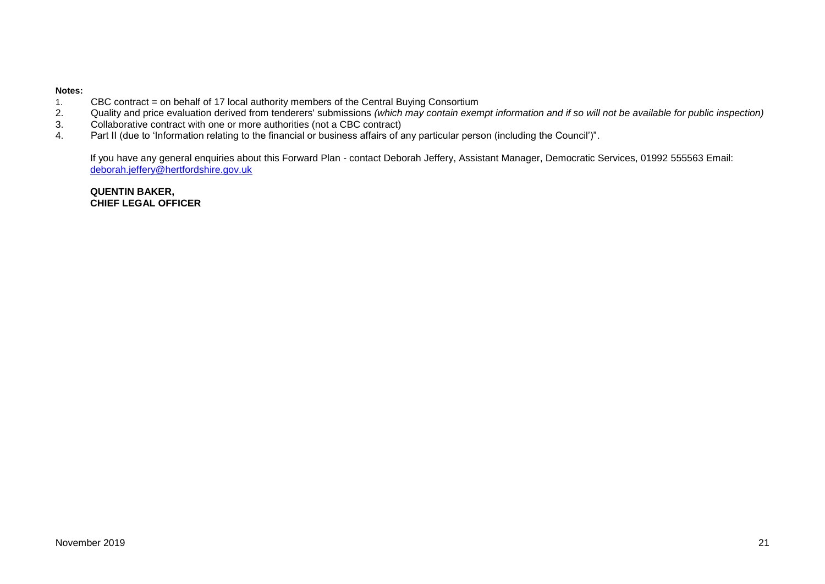#### **Notes:**

- 1. CBC contract = on behalf of 17 local authority members of the Central Buying Consortium<br>2. Quality and price evaluation derived from tenderers' submissions (which may contain exen
- 2. Quality and price evaluation derived from tenderers' submissions *(which may contain exempt information and if so will not be available for public inspection)*<br>3. Collaborative contract with one or more authorities (not
- 3. Collaborative contract with one or more authorities (not a CBC contract)<br>4. Part II (due to 'Information relating to the financial or business affairs of a
- Part II (due to 'Information relating to the financial or business affairs of any particular person (including the Council')".

If you have any general enquiries about this Forward Plan - contact Deborah Jeffery, Assistant Manager, Democratic Services, 01992 555563 Email: [deborah.jeffery@hertfordshire.gov.uk](mailto:deborah.jeffery@hertfordshire.gov.uk) 

**QUENTIN BAKER, CHIEF LEGAL OFFICER**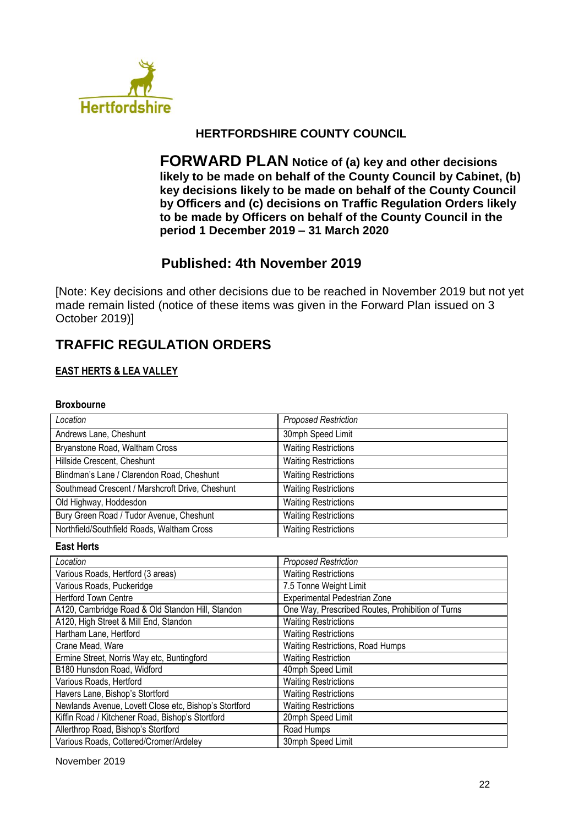

## **HERTFORDSHIRE COUNTY COUNCIL**

**FORWARD PLAN Notice of (a) key and other decisions likely to be made on behalf of the County Council by Cabinet, (b) key decisions likely to be made on behalf of the County Council by Officers and (c) decisions on Traffic Regulation Orders likely to be made by Officers on behalf of the County Council in the period 1 December 2019 – 31 March 2020**

# **Published: 4th November 2019**

[Note: Key decisions and other decisions due to be reached in November 2019 but not yet made remain listed (notice of these items was given in the Forward Plan issued on 3 October 2019)]

# **TRAFFIC REGULATION ORDERS**

## **EAST HERTS & LEA VALLEY**

## **Broxbourne**

| Location                                        | <b>Proposed Restriction</b> |
|-------------------------------------------------|-----------------------------|
| Andrews Lane, Cheshunt                          | 30mph Speed Limit           |
| Bryanstone Road, Waltham Cross                  | <b>Waiting Restrictions</b> |
| Hillside Crescent, Cheshunt                     | <b>Waiting Restrictions</b> |
| Blindman's Lane / Clarendon Road, Cheshunt      | <b>Waiting Restrictions</b> |
| Southmead Crescent / Marshcroft Drive, Cheshunt | <b>Waiting Restrictions</b> |
| Old Highway, Hoddesdon                          | <b>Waiting Restrictions</b> |
| Bury Green Road / Tudor Avenue, Cheshunt        | <b>Waiting Restrictions</b> |
| Northfield/Southfield Roads, Waltham Cross      | <b>Waiting Restrictions</b> |

#### **East Herts**

| Location                                              | <b>Proposed Restriction</b>                      |
|-------------------------------------------------------|--------------------------------------------------|
| Various Roads, Hertford (3 areas)                     | <b>Waiting Restrictions</b>                      |
| Various Roads, Puckeridge                             | 7.5 Tonne Weight Limit                           |
| <b>Hertford Town Centre</b>                           | Experimental Pedestrian Zone                     |
| A120, Cambridge Road & Old Standon Hill, Standon      | One Way, Prescribed Routes, Prohibition of Turns |
| A120, High Street & Mill End, Standon                 | <b>Waiting Restrictions</b>                      |
| Hartham Lane, Hertford                                | <b>Waiting Restrictions</b>                      |
| Crane Mead, Ware                                      | Waiting Restrictions, Road Humps                 |
| Ermine Street, Norris Way etc, Buntingford            | <b>Waiting Restriction</b>                       |
| B180 Hunsdon Road, Widford                            | 40mph Speed Limit                                |
| Various Roads, Hertford                               | <b>Waiting Restrictions</b>                      |
| Havers Lane, Bishop's Stortford                       | <b>Waiting Restrictions</b>                      |
| Newlands Avenue, Lovett Close etc, Bishop's Stortford | <b>Waiting Restrictions</b>                      |
| Kiffin Road / Kitchener Road, Bishop's Stortford      | 20mph Speed Limit                                |
| Allerthrop Road, Bishop's Stortford                   | Road Humps                                       |
| Various Roads, Cottered/Cromer/Ardeley                | 30mph Speed Limit                                |

November 2019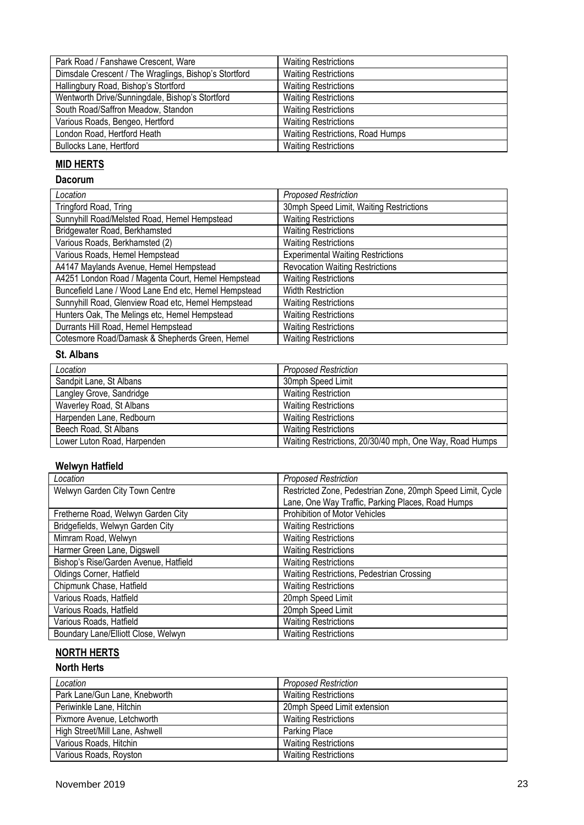| Park Road / Fanshawe Crescent, Ware                   | <b>Waiting Restrictions</b>      |
|-------------------------------------------------------|----------------------------------|
| Dimsdale Crescent / The Wraglings, Bishop's Stortford | <b>Waiting Restrictions</b>      |
| Hallingbury Road, Bishop's Stortford                  | <b>Waiting Restrictions</b>      |
| Wentworth Drive/Sunningdale, Bishop's Stortford       | <b>Waiting Restrictions</b>      |
| South Road/Saffron Meadow, Standon                    | <b>Waiting Restrictions</b>      |
| Various Roads, Bengeo, Hertford                       | <b>Waiting Restrictions</b>      |
| London Road, Hertford Heath                           | Waiting Restrictions, Road Humps |
| <b>Bullocks Lane, Hertford</b>                        | <b>Waiting Restrictions</b>      |

## **MID HERTS**

## **Dacorum**

| Location                                             | <b>Proposed Restriction</b>              |
|------------------------------------------------------|------------------------------------------|
| Tringford Road, Tring                                | 30mph Speed Limit, Waiting Restrictions  |
| Sunnyhill Road/Melsted Road, Hemel Hempstead         | <b>Waiting Restrictions</b>              |
| Bridgewater Road, Berkhamsted                        | <b>Waiting Restrictions</b>              |
| Various Roads, Berkhamsted (2)                       | <b>Waiting Restrictions</b>              |
| Various Roads, Hemel Hempstead                       | <b>Experimental Waiting Restrictions</b> |
| A4147 Maylands Avenue, Hemel Hempstead               | <b>Revocation Waiting Restrictions</b>   |
| A4251 London Road / Magenta Court, Hemel Hempstead   | <b>Waiting Restrictions</b>              |
| Buncefield Lane / Wood Lane End etc, Hemel Hempstead | <b>Width Restriction</b>                 |
| Sunnyhill Road, Glenview Road etc, Hemel Hempstead   | <b>Waiting Restrictions</b>              |
| Hunters Oak, The Melings etc, Hemel Hempstead        | <b>Waiting Restrictions</b>              |
| Durrants Hill Road, Hemel Hempstead                  | <b>Waiting Restrictions</b>              |
| Cotesmore Road/Damask & Shepherds Green, Hemel       | <b>Waiting Restrictions</b>              |

## **St. Albans**

| Location                    | <b>Proposed Restriction</b>                             |
|-----------------------------|---------------------------------------------------------|
| Sandpit Lane, St Albans     | 30mph Speed Limit                                       |
| Langley Grove, Sandridge    | <b>Waiting Restriction</b>                              |
| Waverley Road, St Albans    | <b>Waiting Restrictions</b>                             |
| Harpenden Lane, Redbourn    | <b>Waiting Restrictions</b>                             |
| Beech Road, St Albans       | <b>Waiting Restrictions</b>                             |
| Lower Luton Road, Harpenden | Waiting Restrictions, 20/30/40 mph, One Way, Road Humps |

#### **Welwyn Hatfield**

| Location                              | <b>Proposed Restriction</b>                                |
|---------------------------------------|------------------------------------------------------------|
| Welwyn Garden City Town Centre        | Restricted Zone, Pedestrian Zone, 20mph Speed Limit, Cycle |
|                                       | Lane, One Way Traffic, Parking Places, Road Humps          |
| Fretherne Road, Welwyn Garden City    | Prohibition of Motor Vehicles                              |
| Bridgefields, Welwyn Garden City      | <b>Waiting Restrictions</b>                                |
| Mimram Road, Welwyn                   | <b>Waiting Restrictions</b>                                |
| Harmer Green Lane, Digswell           | <b>Waiting Restrictions</b>                                |
| Bishop's Rise/Garden Avenue, Hatfield | <b>Waiting Restrictions</b>                                |
| Oldings Corner, Hatfield              | Waiting Restrictions, Pedestrian Crossing                  |
| Chipmunk Chase, Hatfield              | <b>Waiting Restrictions</b>                                |
| Various Roads, Hatfield               | 20mph Speed Limit                                          |
| Various Roads, Hatfield               | 20mph Speed Limit                                          |
| Various Roads, Hatfield               | <b>Waiting Restrictions</b>                                |
| Boundary Lane/Elliott Close, Welwyn   | <b>Waiting Restrictions</b>                                |

## **NORTH HERTS**

## **North Herts**

| Location                       | <b>Proposed Restriction</b> |
|--------------------------------|-----------------------------|
| Park Lane/Gun Lane, Knebworth  | <b>Waiting Restrictions</b> |
| Periwinkle Lane, Hitchin       | 20mph Speed Limit extension |
| Pixmore Avenue, Letchworth     | <b>Waiting Restrictions</b> |
| High Street/Mill Lane, Ashwell | Parking Place               |
| Various Roads, Hitchin         | <b>Waiting Restrictions</b> |
| Various Roads, Royston         | <b>Waiting Restrictions</b> |